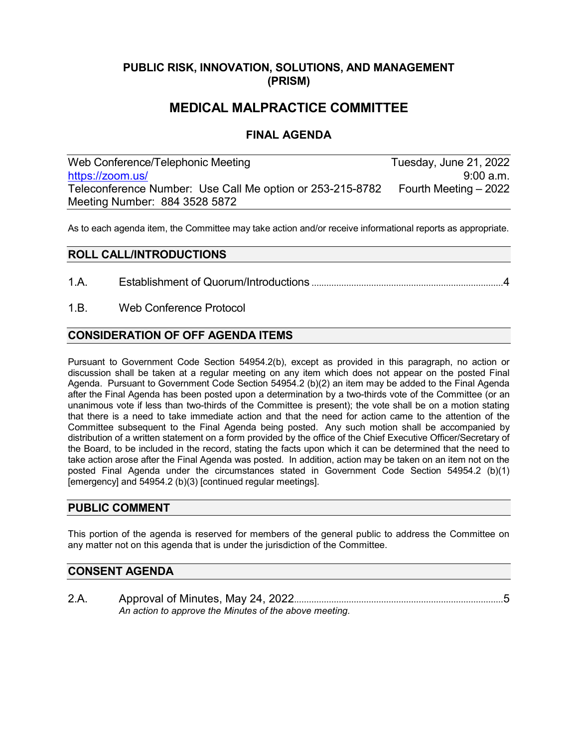## **PUBLIC RISK, INNOVATION, SOLUTIONS, AND MANAGEMENT (PRISM)**

# **MEDICAL MALPRACTICE COMMITTEE**

## **FINAL AGENDA**

Web Conference/Telephonic Meeting Tuesday, June 21, 2022 [https://zoom.us/](https://us06web.zoom.us/j/88435285872?pwd=dXBUaHZYZmt1Q0g0c1p0a1MxS0toZz09#success) 9:00 a.m. Teleconference Number: Use Call Me option or 253-215-8782 Fourth Meeting – 2022 Meeting Number: 884 3528 5872

As to each agenda item, the Committee may take action and/or receive informational reports as appropriate.

## **ROLL CALL/INTRODUCTIONS**

- 1.A. Establishment of Quorum/Introductions .............................................................................4
- 1.B. Web Conference Protocol

## **CONSIDERATION OF OFF AGENDA ITEMS**

Pursuant to Government Code Section 54954.2(b), except as provided in this paragraph, no action or discussion shall be taken at a regular meeting on any item which does not appear on the posted Final Agenda. Pursuant to Government Code Section 54954.2 (b)(2) an item may be added to the Final Agenda after the Final Agenda has been posted upon a determination by a two-thirds vote of the Committee (or an unanimous vote if less than two-thirds of the Committee is present); the vote shall be on a motion stating that there is a need to take immediate action and that the need for action came to the attention of the Committee subsequent to the Final Agenda being posted. Any such motion shall be accompanied by distribution of a written statement on a form provided by the office of the Chief Executive Officer/Secretary of the Board, to be included in the record, stating the facts upon which it can be determined that the need to take action arose after the Final Agenda was posted. In addition, action may be taken on an item not on the posted Final Agenda under the circumstances stated in Government Code Section 54954.2 (b)(1) [emergency] and 54954.2 (b)(3) [continued regular meetings].

#### **PUBLIC COMMENT**

This portion of the agenda is reserved for members of the general public to address the Committee on any matter not on this agenda that is under the jurisdiction of the Committee.

### **CONSENT AGENDA**

2.A. Approval of Minutes, May 24, 2022....................................................................................5 *An action to approve the Minutes of the above meeting.*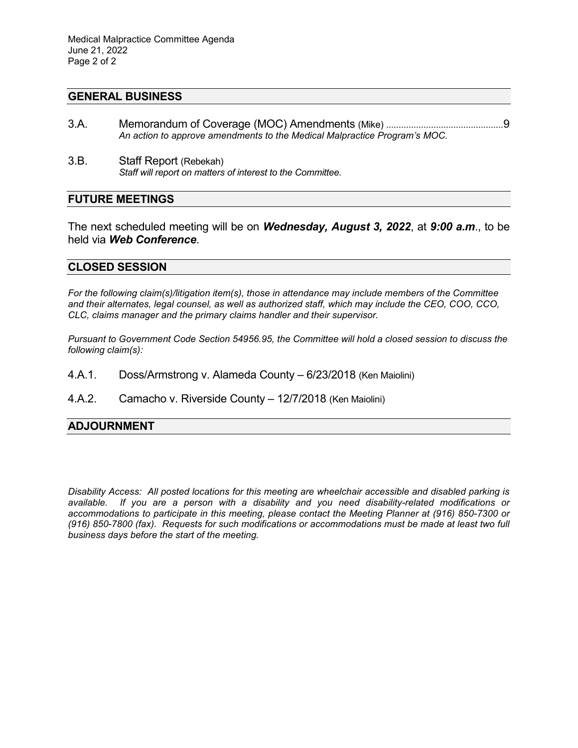#### **GENERAL BUSINESS**

- 3.A. Memorandum of Coverage (MOC) Amendments (Mike) ...............................................9 *An action to approve amendments to the Medical Malpractice Program's MOC.*
- 3.B. Staff Report (Rebekah) *Staff will report on matters of interest to the Committee.*

### **FUTURE MEETINGS**

The next scheduled meeting will be on *Wednesday, August 3, 2022*, at *9:00 a.m*., to be held via *Web Conference*.

#### **CLOSED SESSION**

*For the following claim(s)/litigation item(s), those in attendance may include members of the Committee and their alternates, legal counsel, as well as authorized staff, which may include the CEO, COO, CCO, CLC, claims manager and the primary claims handler and their supervisor.* 

*Pursuant to Government Code Section 54956.95, the Committee will hold a closed session to discuss the following claim(s):*

- 4.A.1. Doss/Armstrong v. Alameda County 6/23/2018 (Ken Maiolini)
- 4.A.2. Camacho v. Riverside County 12/7/2018 (Ken Maiolini)

#### **ADJOURNMENT**

*Disability Access: All posted locations for this meeting are wheelchair accessible and disabled parking is available. If you are a person with a disability and you need disability-related modifications or accommodations to participate in this meeting, please contact the Meeting Planner at (916) 850-7300 or (916) 850-7800 (fax). Requests for such modifications or accommodations must be made at least two full business days before the start of the meeting.*